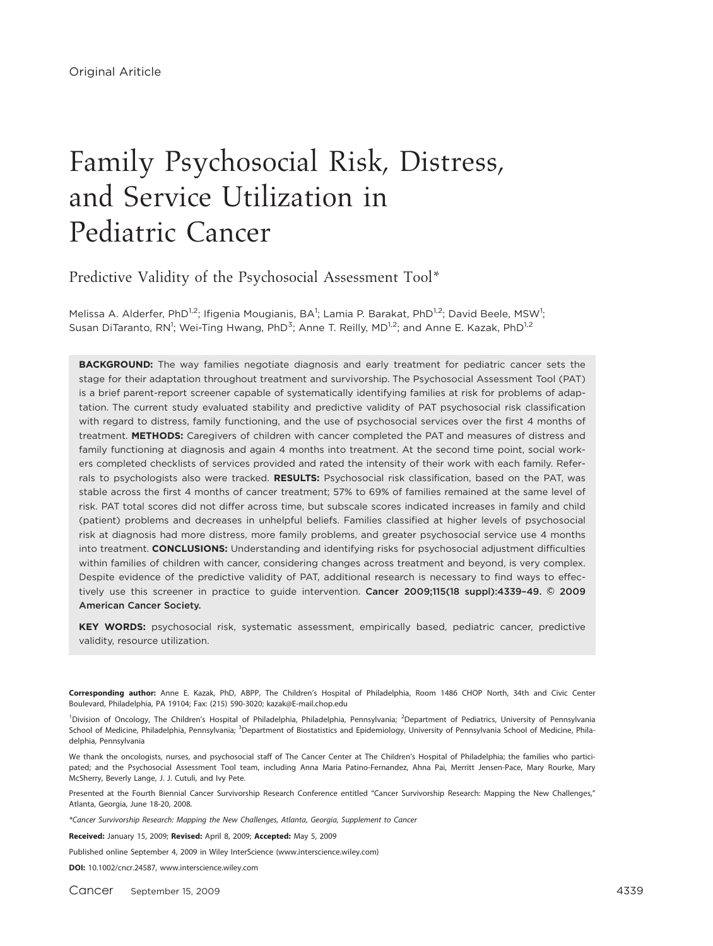# Family Psychosocial Risk, Distress, and Service Utilization in Pediatric Cancer\*

Predictive Validity of the Psychosocial Assessment Tool\*

Melissa A. Alderfer, PhD<sup>1,2</sup>; Ifigenia Mougianis, BA<sup>1</sup>; Lamia P. Barakat, PhD<sup>1,2</sup>; David Beele, MSW<sup>1</sup>; Susan DiTaranto, RN<sup>1</sup>; Wei-Ting Hwang, PhD<sup>3</sup>; Anne T. Reilly, MD<sup>1,2</sup>; and Anne E. Kazak, PhD<sup>1,2</sup>

**BACKGROUND:** The way families negotiate diagnosis and early treatment for pediatric cancer sets the stage for their adaptation throughout treatment and survivorship. The Psychosocial Assessment Tool (PAT) is a brief parent-report screener capable of systematically identifying families at risk for problems of adaptation. The current study evaluated stability and predictive validity of PAT psychosocial risk classification with regard to distress, family functioning, and the use of psychosocial services over the first 4 months of treatment. METHODS: Caregivers of children with cancer completed the PAT and measures of distress and family functioning at diagnosis and again 4 months into treatment. At the second time point, social workers completed checklists of services provided and rated the intensity of their work with each family. Referrals to psychologists also were tracked. RESULTS: Psychosocial risk classification, based on the PAT, was stable across the first 4 months of cancer treatment; 57% to 69% of families remained at the same level of risk. PAT total scores did not differ across time, but subscale scores indicated increases in family and child (patient) problems and decreases in unhelpful beliefs. Families classified at higher levels of psychosocial risk at diagnosis had more distress, more family problems, and greater psychosocial service use 4 months into treatment. CONCLUSIONS: Understanding and identifying risks for psychosocial adjustment difficulties within families of children with cancer, considering changes across treatment and beyond, is very complex. Despite evidence of the predictive validity of PAT, additional research is necessary to find ways to effectively use this screener in practice to guide intervention. Cancer 2009;115(18 suppl):4339-49. © 2009 American Cancer Society.

KEY WORDS: psychosocial risk, systematic assessment, empirically based, pediatric cancer, predictive validity, resource utilization.

Corresponding author: Anne E. Kazak, PhD, ABPP, The Children's Hospital of Philadelphia, Room 1486 CHOP North, 34th and Civic Center Boulevard, Philadelphia, PA 19104; Fax: (215) 590-3020; kazak@E-mail.chop.edu

<sup>1</sup>Division of Oncology, The Children's Hospital of Philadelphia, Philadelphia, Pennsylvania; <sup>2</sup>Department of Pediatrics, University of Pennsylvania School of Medicine, Philadelphia, Pennsylvania; <sup>3</sup>Department of Biostatistics and Epidemiology, University of Pennsylvania School of Medicine, Philadelphia, Pennsylvania

We thank the oncologists, nurses, and psychosocial staff of The Cancer Center at The Children's Hospital of Philadelphia; the families who participated; and the Psychosocial Assessment Tool team, including Anna Maria Patino-Fernandez, Ahna Pai, Merritt Jensen-Pace, Mary Rourke, Mary McSherry, Beverly Lange, J. J. Cutuli, and Ivy Pete.

Presented at the Fourth Biennial Cancer Survivorship Research Conference entitled ''Cancer Survivorship Research: Mapping the New Challenges,'' Atlanta, Georgia, June 18-20, 2008.

\*Cancer Survivorship Research: Mapping the New Challenges, Atlanta, Georgia, Supplement to Cancer

Received: January 15, 2009; Revised: April 8, 2009; Accepted: May 5, 2009

Published online September 4, 2009 in Wiley InterScience (www.interscience.wiley.com)

DOI: 10.1002/cncr.24587, www.interscience.wiley.com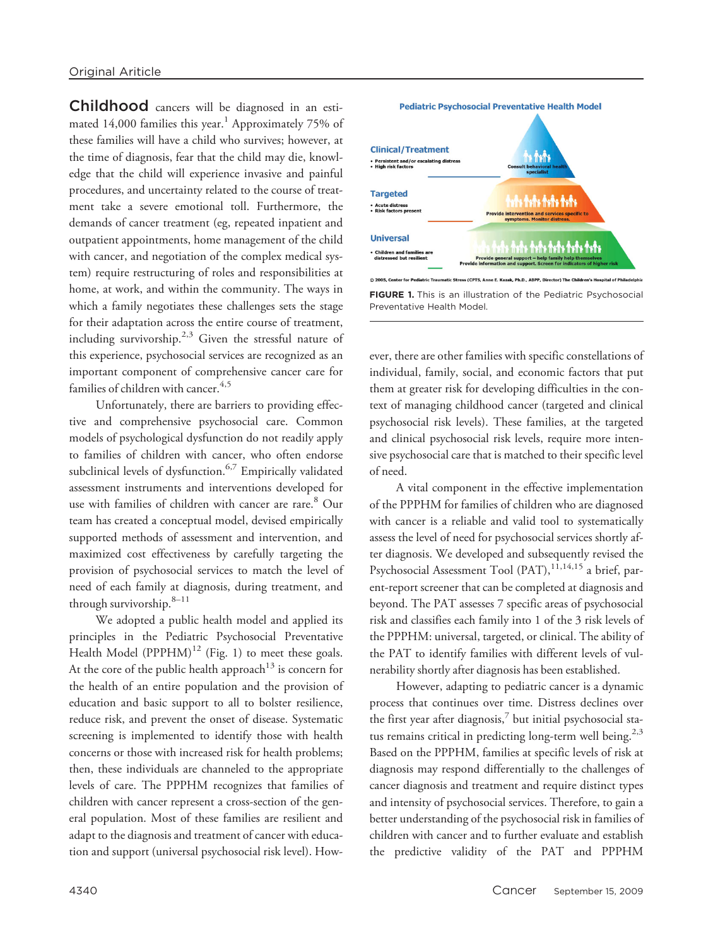Childhood cancers will be diagnosed in an estimated 14,000 families this year.<sup>1</sup> Approximately 75% of these families will have a child who survives; however, at the time of diagnosis, fear that the child may die, knowledge that the child will experience invasive and painful procedures, and uncertainty related to the course of treatment take a severe emotional toll. Furthermore, the demands of cancer treatment (eg, repeated inpatient and outpatient appointments, home management of the child with cancer, and negotiation of the complex medical system) require restructuring of roles and responsibilities at home, at work, and within the community. The ways in which a family negotiates these challenges sets the stage for their adaptation across the entire course of treatment, including survivorship.<sup>2,3</sup> Given the stressful nature of this experience, psychosocial services are recognized as an important component of comprehensive cancer care for families of children with cancer.<sup>4,5</sup>

Unfortunately, there are barriers to providing effective and comprehensive psychosocial care. Common models of psychological dysfunction do not readily apply to families of children with cancer, who often endorse subclinical levels of dysfunction.<sup>6,7</sup> Empirically validated assessment instruments and interventions developed for use with families of children with cancer are rare.<sup>8</sup> Our team has created a conceptual model, devised empirically supported methods of assessment and intervention, and maximized cost effectiveness by carefully targeting the provision of psychosocial services to match the level of need of each family at diagnosis, during treatment, and through survivorship. $8-11$ 

We adopted a public health model and applied its principles in the Pediatric Psychosocial Preventative Health Model  $(PPPHM)^{12}$  (Fig. 1) to meet these goals. At the core of the public health approach<sup>13</sup> is concern for the health of an entire population and the provision of education and basic support to all to bolster resilience, reduce risk, and prevent the onset of disease. Systematic screening is implemented to identify those with health concerns or those with increased risk for health problems; then, these individuals are channeled to the appropriate levels of care. The PPPHM recognizes that families of children with cancer represent a cross-section of the general population. Most of these families are resilient and adapt to the diagnosis and treatment of cancer with education and support (universal psychosocial risk level). How-



FIGURE 1. This is an illustration of the Pediatric Psychosocial Preventative Health Model.

ever, there are other families with specific constellations of individual, family, social, and economic factors that put them at greater risk for developing difficulties in the context of managing childhood cancer (targeted and clinical psychosocial risk levels). These families, at the targeted and clinical psychosocial risk levels, require more intensive psychosocial care that is matched to their specific level of need.

A vital component in the effective implementation of the PPPHM for families of children who are diagnosed with cancer is a reliable and valid tool to systematically assess the level of need for psychosocial services shortly after diagnosis. We developed and subsequently revised the Psychosocial Assessment Tool (PAT),<sup>11,14,15</sup> a brief, parent-report screener that can be completed at diagnosis and beyond. The PAT assesses 7 specific areas of psychosocial risk and classifies each family into 1 of the 3 risk levels of the PPPHM: universal, targeted, or clinical. The ability of the PAT to identify families with different levels of vulnerability shortly after diagnosis has been established.

However, adapting to pediatric cancer is a dynamic process that continues over time. Distress declines over the first year after diagnosis, $^7$  but initial psychosocial status remains critical in predicting long-term well being.<sup>2,3</sup> Based on the PPPHM, families at specific levels of risk at diagnosis may respond differentially to the challenges of cancer diagnosis and treatment and require distinct types and intensity of psychosocial services. Therefore, to gain a better understanding of the psychosocial risk in families of children with cancer and to further evaluate and establish the predictive validity of the PAT and PPPHM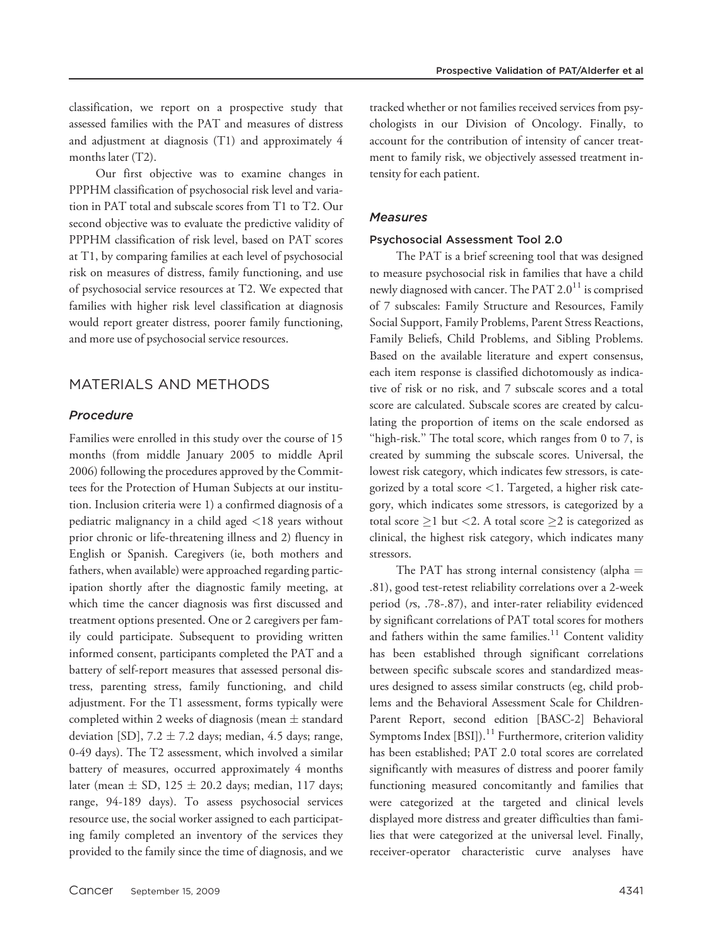classification, we report on a prospective study that assessed families with the PAT and measures of distress and adjustment at diagnosis (T1) and approximately 4 months later (T2).

Our first objective was to examine changes in PPPHM classification of psychosocial risk level and variation in PAT total and subscale scores from T1 to T2. Our second objective was to evaluate the predictive validity of PPPHM classification of risk level, based on PAT scores at T1, by comparing families at each level of psychosocial risk on measures of distress, family functioning, and use of psychosocial service resources at T2. We expected that families with higher risk level classification at diagnosis would report greater distress, poorer family functioning, and more use of psychosocial service resources.

## MATERIALS AND METHODS

#### Procedure

Families were enrolled in this study over the course of 15 months (from middle January 2005 to middle April 2006) following the procedures approved by the Committees for the Protection of Human Subjects at our institution. Inclusion criteria were 1) a confirmed diagnosis of a pediatric malignancy in a child aged <18 years without prior chronic or life-threatening illness and 2) fluency in English or Spanish. Caregivers (ie, both mothers and fathers, when available) were approached regarding participation shortly after the diagnostic family meeting, at which time the cancer diagnosis was first discussed and treatment options presented. One or 2 caregivers per family could participate. Subsequent to providing written informed consent, participants completed the PAT and a battery of self-report measures that assessed personal distress, parenting stress, family functioning, and child adjustment. For the T1 assessment, forms typically were completed within 2 weeks of diagnosis (mean  $\pm$  standard deviation [SD],  $7.2 \pm 7.2$  days; median, 4.5 days; range, 0-49 days). The T2 assessment, which involved a similar battery of measures, occurred approximately 4 months later (mean  $\pm$  SD, 125  $\pm$  20.2 days; median, 117 days; range, 94-189 days). To assess psychosocial services resource use, the social worker assigned to each participating family completed an inventory of the services they provided to the family since the time of diagnosis, and we tracked whether or not families received services from psychologists in our Division of Oncology. Finally, to account for the contribution of intensity of cancer treatment to family risk, we objectively assessed treatment intensity for each patient.

#### **Measures**

#### Psychosocial Assessment Tool 2.0

The PAT is a brief screening tool that was designed to measure psychosocial risk in families that have a child newly diagnosed with cancer. The PAT  $2.0^{11}$  is comprised of 7 subscales: Family Structure and Resources, Family Social Support, Family Problems, Parent Stress Reactions, Family Beliefs, Child Problems, and Sibling Problems. Based on the available literature and expert consensus, each item response is classified dichotomously as indicative of risk or no risk, and 7 subscale scores and a total score are calculated. Subscale scores are created by calculating the proportion of items on the scale endorsed as "high-risk." The total score, which ranges from  $0$  to  $7$ , is created by summing the subscale scores. Universal, the lowest risk category, which indicates few stressors, is categorized by a total score <1. Targeted, a higher risk category, which indicates some stressors, is categorized by a total score  $\geq$ 1 but <2. A total score  $\geq$ 2 is categorized as clinical, the highest risk category, which indicates many stressors.

The PAT has strong internal consistency (alpha  $=$ .81), good test-retest reliability correlations over a 2-week period (rs, .78-.87), and inter-rater reliability evidenced by significant correlations of PAT total scores for mothers and fathers within the same families. $11$  Content validity has been established through significant correlations between specific subscale scores and standardized measures designed to assess similar constructs (eg, child problems and the Behavioral Assessment Scale for Children-Parent Report, second edition [BASC-2] Behavioral Symptoms Index  $[BSI]$ ).<sup>11</sup> Furthermore, criterion validity has been established; PAT 2.0 total scores are correlated significantly with measures of distress and poorer family functioning measured concomitantly and families that were categorized at the targeted and clinical levels displayed more distress and greater difficulties than families that were categorized at the universal level. Finally, receiver-operator characteristic curve analyses have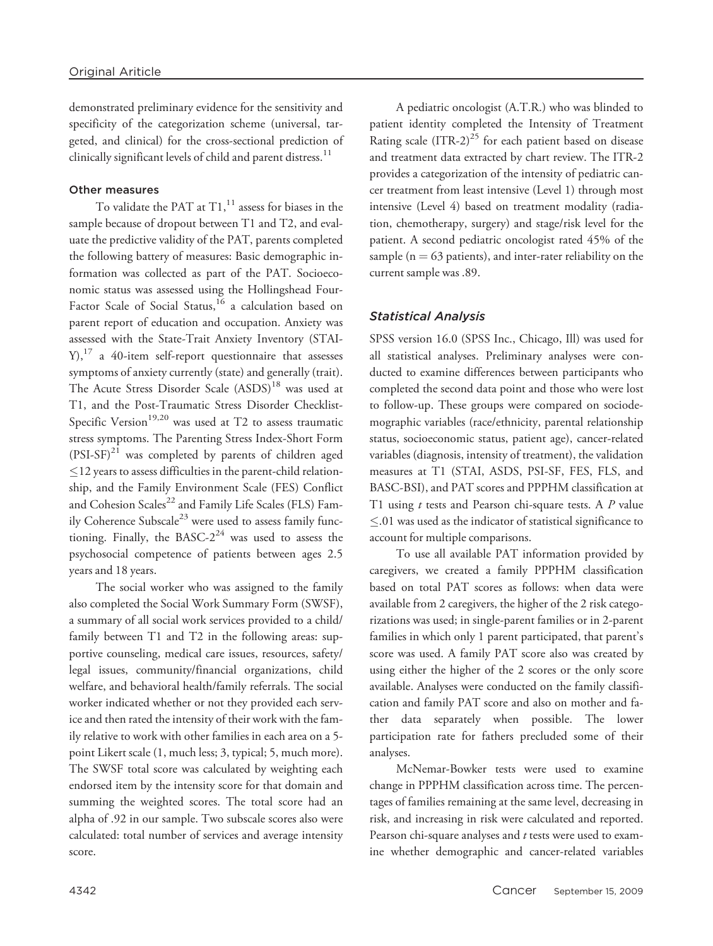demonstrated preliminary evidence for the sensitivity and specificity of the categorization scheme (universal, targeted, and clinical) for the cross-sectional prediction of clinically significant levels of child and parent distress. $11$ 

### Other measures

To validate the PAT at  $T1$ ,<sup>11</sup> assess for biases in the sample because of dropout between T1 and T2, and evaluate the predictive validity of the PAT, parents completed the following battery of measures: Basic demographic information was collected as part of the PAT. Socioeconomic status was assessed using the Hollingshead Four-Factor Scale of Social Status,<sup>16</sup> a calculation based on parent report of education and occupation. Anxiety was assessed with the State-Trait Anxiety Inventory (STAI- $Y$ ,<sup>17</sup> a 40-item self-report questionnaire that assesses symptoms of anxiety currently (state) and generally (trait). The Acute Stress Disorder Scale (ASDS)<sup>18</sup> was used at T1, and the Post-Traumatic Stress Disorder Checklist-Specific Version<sup>19,20</sup> was used at T2 to assess traumatic stress symptoms. The Parenting Stress Index-Short Form  $(PSI-SF)^{21}$  was completed by parents of children aged  $\leq$ 12 years to assess difficulties in the parent-child relationship, and the Family Environment Scale (FES) Conflict and Cohesion Scales<sup>22</sup> and Family Life Scales (FLS) Family Coherence Subscale<sup>23</sup> were used to assess family functioning. Finally, the BASC- $2^{24}$  was used to assess the psychosocial competence of patients between ages 2.5 years and 18 years.

The social worker who was assigned to the family also completed the Social Work Summary Form (SWSF), a summary of all social work services provided to a child/ family between T1 and T2 in the following areas: supportive counseling, medical care issues, resources, safety/ legal issues, community/financial organizations, child welfare, and behavioral health/family referrals. The social worker indicated whether or not they provided each service and then rated the intensity of their work with the family relative to work with other families in each area on a 5 point Likert scale (1, much less; 3, typical; 5, much more). The SWSF total score was calculated by weighting each endorsed item by the intensity score for that domain and summing the weighted scores. The total score had an alpha of .92 in our sample. Two subscale scores also were calculated: total number of services and average intensity score.

A pediatric oncologist (A.T.R.) who was blinded to patient identity completed the Intensity of Treatment Rating scale  $(ITR-2)^{25}$  for each patient based on disease and treatment data extracted by chart review. The ITR-2 provides a categorization of the intensity of pediatric cancer treatment from least intensive (Level 1) through most intensive (Level 4) based on treatment modality (radiation, chemotherapy, surgery) and stage/risk level for the patient. A second pediatric oncologist rated 45% of the sample ( $n = 63$  patients), and inter-rater reliability on the current sample was .89.

## Statistical Analysis

SPSS version 16.0 (SPSS Inc., Chicago, Ill) was used for all statistical analyses. Preliminary analyses were conducted to examine differences between participants who completed the second data point and those who were lost to follow-up. These groups were compared on sociodemographic variables (race/ethnicity, parental relationship status, socioeconomic status, patient age), cancer-related variables (diagnosis, intensity of treatment), the validation measures at T1 (STAI, ASDS, PSI-SF, FES, FLS, and BASC-BSI), and PAT scores and PPPHM classification at T1 using  $t$  tests and Pearson chi-square tests. A  $P$  value  $\leq$ .01 was used as the indicator of statistical significance to account for multiple comparisons.

To use all available PAT information provided by caregivers, we created a family PPPHM classification based on total PAT scores as follows: when data were available from 2 caregivers, the higher of the 2 risk categorizations was used; in single-parent families or in 2-parent families in which only 1 parent participated, that parent's score was used. A family PAT score also was created by using either the higher of the 2 scores or the only score available. Analyses were conducted on the family classification and family PAT score and also on mother and father data separately when possible. The lower participation rate for fathers precluded some of their analyses.

McNemar-Bowker tests were used to examine change in PPPHM classification across time. The percentages of families remaining at the same level, decreasing in risk, and increasing in risk were calculated and reported. Pearson chi-square analyses and  $t$  tests were used to examine whether demographic and cancer-related variables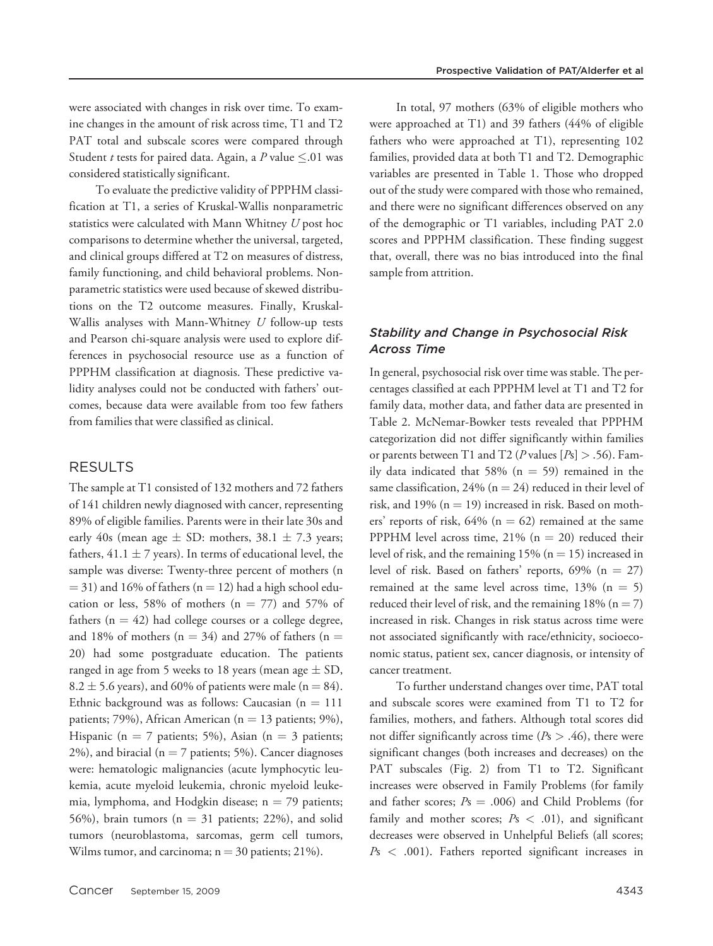were associated with changes in risk over time. To examine changes in the amount of risk across time, T1 and T2 PAT total and subscale scores were compared through Student t tests for paired data. Again, a P value  $\leq$ .01 was considered statistically significant.

To evaluate the predictive validity of PPPHM classification at T1, a series of Kruskal-Wallis nonparametric statistics were calculated with Mann Whitney  $U$  post hoc comparisons to determine whether the universal, targeted, and clinical groups differed at T2 on measures of distress, family functioning, and child behavioral problems. Nonparametric statistics were used because of skewed distributions on the T2 outcome measures. Finally, Kruskal-Wallis analyses with Mann-Whitney  $U$  follow-up tests and Pearson chi-square analysis were used to explore differences in psychosocial resource use as a function of PPPHM classification at diagnosis. These predictive validity analyses could not be conducted with fathers' outcomes, because data were available from too few fathers from families that were classified as clinical.

# RESULTS

The sample at T1 consisted of 132 mothers and 72 fathers of 141 children newly diagnosed with cancer, representing 89% of eligible families. Parents were in their late 30s and early 40s (mean age  $\pm$  SD: mothers, 38.1  $\pm$  7.3 years; fathers,  $41.1 \pm 7$  years). In terms of educational level, the sample was diverse: Twenty-three percent of mothers (n  $=$  31) and 16% of fathers (n  $=$  12) had a high school education or less, 58% of mothers ( $n = 77$ ) and 57% of fathers ( $n = 42$ ) had college courses or a college degree, and 18% of mothers ( $n = 34$ ) and 27% of fathers ( $n =$ 20) had some postgraduate education. The patients ranged in age from 5 weeks to 18 years (mean age  $\pm$  SD,  $8.2 \pm 5.6$  years), and 60% of patients were male (n = 84). Ethnic background was as follows: Caucasian  $(n = 111)$ patients; 79%), African American ( $n = 13$  patients; 9%), Hispanic (n = 7 patients; 5%), Asian (n = 3 patients; 2%), and biracial ( $n = 7$  patients; 5%). Cancer diagnoses were: hematologic malignancies (acute lymphocytic leukemia, acute myeloid leukemia, chronic myeloid leukemia, lymphoma, and Hodgkin disease;  $n = 79$  patients; 56%), brain tumors ( $n = 31$  patients; 22%), and solid tumors (neuroblastoma, sarcomas, germ cell tumors, Wilms tumor, and carcinoma;  $n = 30$  patients; 21%).

In total, 97 mothers (63% of eligible mothers who were approached at T1) and 39 fathers (44% of eligible fathers who were approached at T1), representing 102 families, provided data at both T1 and T2. Demographic variables are presented in Table 1. Those who dropped out of the study were compared with those who remained, and there were no significant differences observed on any of the demographic or T1 variables, including PAT 2.0 scores and PPPHM classification. These finding suggest that, overall, there was no bias introduced into the final sample from attrition.

# Stability and Change in Psychosocial Risk Across Time

In general, psychosocial risk over time was stable. The percentages classified at each PPPHM level at T1 and T2 for family data, mother data, and father data are presented in Table 2. McNemar-Bowker tests revealed that PPPHM categorization did not differ significantly within families or parents between T1 and T2 (P values  $[P_s] > .56$ ). Family data indicated that 58% ( $n = 59$ ) remained in the same classification, 24% ( $n = 24$ ) reduced in their level of risk, and 19% ( $n = 19$ ) increased in risk. Based on mothers' reports of risk,  $64\%$  (n = 62) remained at the same PPPHM level across time, 21% ( $n = 20$ ) reduced their level of risk, and the remaining  $15\%$  (n = 15) increased in level of risk. Based on fathers' reports,  $69\%$  (n = 27) remained at the same level across time,  $13\%$  (n = 5) reduced their level of risk, and the remaining  $18\%$  (n = 7) increased in risk. Changes in risk status across time were not associated significantly with race/ethnicity, socioeconomic status, patient sex, cancer diagnosis, or intensity of cancer treatment.

To further understand changes over time, PAT total and subscale scores were examined from T1 to T2 for families, mothers, and fathers. Although total scores did not differ significantly across time ( $Ps > .46$ ), there were significant changes (both increases and decreases) on the PAT subscales (Fig. 2) from T1 to T2. Significant increases were observed in Family Problems (for family and father scores;  $Ps = .006$ ) and Child Problems (for family and mother scores;  $Ps < .01$ ), and significant decreases were observed in Unhelpful Beliefs (all scores;  $Ps < .001$ ). Fathers reported significant increases in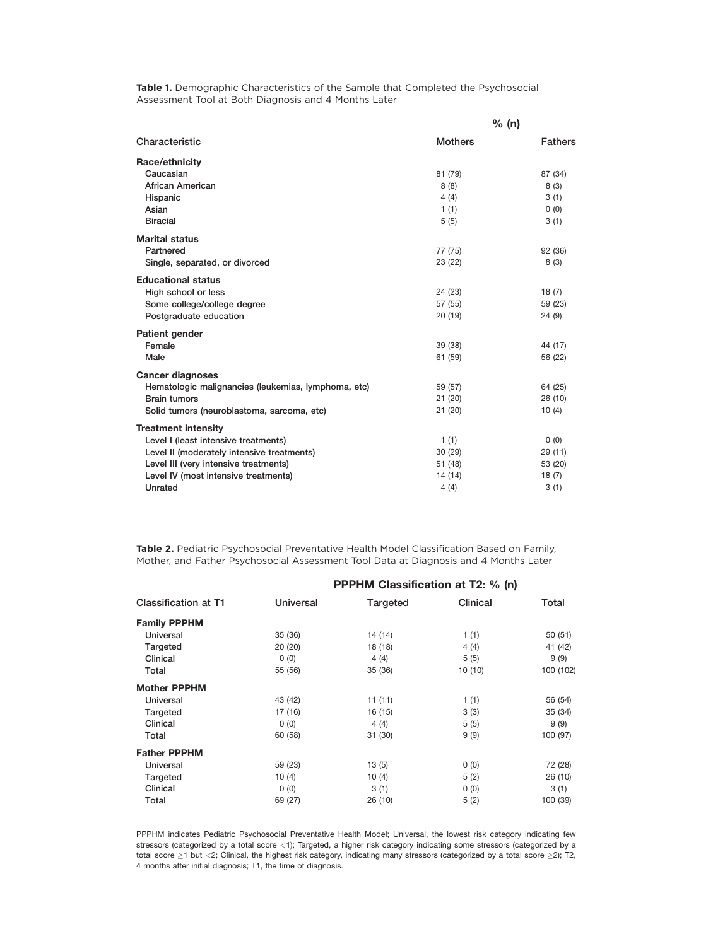Table 1. Demographic Characteristics of the Sample that Completed the Psychosocial Assessment Tool at Both Diagnosis and 4 Months Later

|                                                     | % (n)          |                |  |
|-----------------------------------------------------|----------------|----------------|--|
| Characteristic                                      | <b>Mothers</b> | <b>Fathers</b> |  |
| Race/ethnicity                                      |                |                |  |
| Caucasian                                           | 81 (79)        | 87 (34)        |  |
| African American                                    | 8(8)           | 8(3)           |  |
| Hispanic                                            | 4(4)           | 3(1)           |  |
| Asian                                               | 1(1)           | 0(0)           |  |
| <b>Biracial</b>                                     | 5(5)           | 3(1)           |  |
| <b>Marital status</b>                               |                |                |  |
| Partnered                                           | 77 (75)        | 92 (36)        |  |
| Single, separated, or divorced                      | 23 (22)        | 8(3)           |  |
| <b>Educational status</b>                           |                |                |  |
| High school or less                                 | 24 (23)        | 18(7)          |  |
| Some college/college degree                         | 57 (55)        | 59 (23)        |  |
| Postgraduate education                              | 20(19)         | 24(9)          |  |
| <b>Patient gender</b>                               |                |                |  |
| Female                                              | 39 (38)        | 44 (17)        |  |
| Male                                                | 61 (59)        | 56 (22)        |  |
| <b>Cancer diagnoses</b>                             |                |                |  |
| Hematologic malignancies (leukemias, lymphoma, etc) | 59 (57)        | 64 (25)        |  |
| <b>Brain tumors</b>                                 | 21(20)         | 26 (10)        |  |
| Solid tumors (neuroblastoma, sarcoma, etc)          | 21(20)         | 10(4)          |  |
| <b>Treatment intensity</b>                          |                |                |  |
| Level I (least intensive treatments)                | 1(1)           | (0)            |  |
| Level II (moderately intensive treatments)          | 30(29)         | 29 (11)        |  |
| Level III (very intensive treatments)               | 51 (48)        | 53 (20)        |  |
| Level IV (most intensive treatments)                | 14(14)         | 18(7)          |  |
| Unrated                                             | 4(4)           | 3(1)           |  |

Table 2. Pediatric Psychosocial Preventative Health Model Classification Based on Family, Mother, and Father Psychosocial Assessment Tool Data at Diagnosis and 4 Months Later

| <b>PPPHM Classification at T2: % (n)</b> |          |          |           |
|------------------------------------------|----------|----------|-----------|
| Universal                                | Targeted | Clinical | Total     |
|                                          |          |          |           |
| 35(36)                                   | 14 (14)  | 1(1)     | 50(51)    |
| 20(20)                                   | 18 (18)  | 4(4)     | 41 (42)   |
| 0(0)                                     | 4(4)     | 5(5)     | 9(9)      |
| 55 (56)                                  | 35(36)   | 10 (10)  | 100 (102) |
|                                          |          |          |           |
| 43 (42)                                  | 11(11)   | 1(1)     | 56 (54)   |
| 17 (16)                                  | 16 (15)  | 3(3)     | 35(34)    |
| 0(0)                                     | 4(4)     | 5(5)     | 9 (9)     |
| 60 (58)                                  | 31(30)   | 9(9)     | 100 (97)  |
|                                          |          |          |           |
| 59 (23)                                  | 13(5)    | 0(0)     | 72 (28)   |
| 10(4)                                    | 10(4)    | 5(2)     | 26(10)    |
| 0(0)                                     | 3(1)     | 0(0)     | 3(1)      |
| 69 (27)                                  | 26 (10)  | 5(2)     | 100 (39)  |
|                                          |          |          |           |

PPPHM indicates Pediatric Psychosocial Preventative Health Model; Universal, the lowest risk category indicating few stressors (categorized by a total score <1); Targeted, a higher risk category indicating some stressors (categorized by a total score  $\geq$ 1 but <2; Clinical, the highest risk category, indicating many stressors (categorized by a total score  $\geq$ 2); T2, 4 months after initial diagnosis; T1, the time of diagnosis.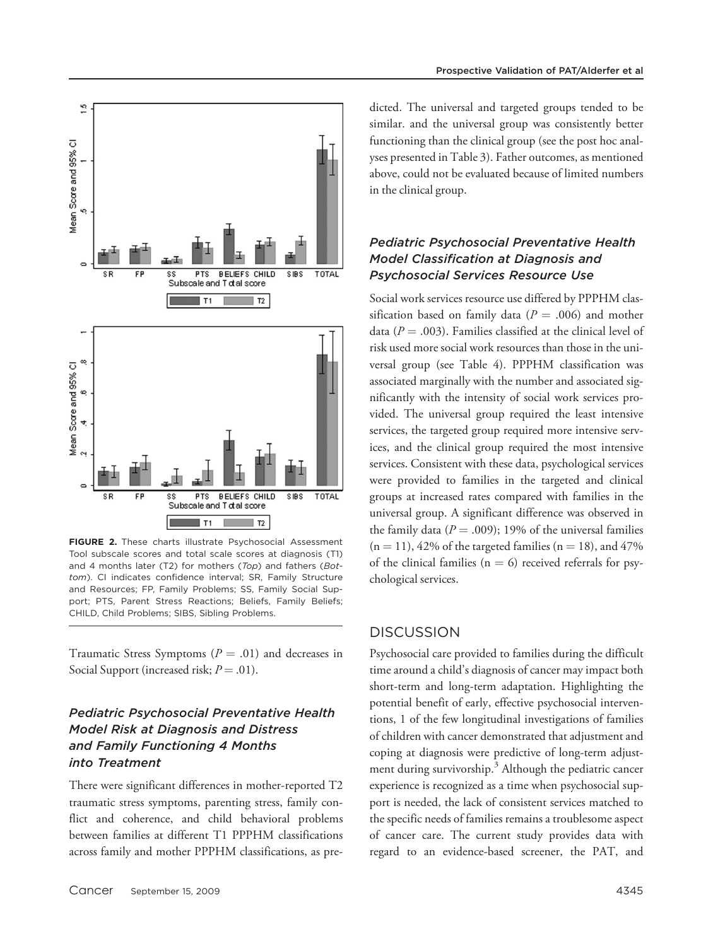

FIGURE 2. These charts illustrate Psychosocial Assessment Tool subscale scores and total scale scores at diagnosis (T1) and 4 months later (T2) for mothers (Top) and fathers (Bottom). CI indicates confidence interval; SR, Family Structure and Resources; FP, Family Problems; SS, Family Social Support; PTS, Parent Stress Reactions; Beliefs, Family Beliefs; CHILD, Child Problems; SIBS, Sibling Problems.

Traumatic Stress Symptoms ( $P = .01$ ) and decreases in Social Support (increased risk;  $P = .01$ ).

# Pediatric Psychosocial Preventative Health Model Risk at Diagnosis and Distress and Family Functioning 4 Months into Treatment

There were significant differences in mother-reported T2 traumatic stress symptoms, parenting stress, family conflict and coherence, and child behavioral problems between families at different T1 PPPHM classifications across family and mother PPPHM classifications, as predicted. The universal and targeted groups tended to be similar. and the universal group was consistently better functioning than the clinical group (see the post hoc analyses presented in Table 3). Father outcomes, as mentioned above, could not be evaluated because of limited numbers in the clinical group.

# Pediatric Psychosocial Preventative Health Model Classification at Diagnosis and Psychosocial Services Resource Use

Social work services resource use differed by PPPHM classification based on family data ( $P = .006$ ) and mother data ( $P = .003$ ). Families classified at the clinical level of risk used more social work resources than those in the universal group (see Table 4). PPPHM classification was associated marginally with the number and associated significantly with the intensity of social work services provided. The universal group required the least intensive services, the targeted group required more intensive services, and the clinical group required the most intensive services. Consistent with these data, psychological services were provided to families in the targeted and clinical groups at increased rates compared with families in the universal group. A significant difference was observed in the family data ( $P = .009$ ); 19% of the universal families  $(n = 11)$ , 42% of the targeted families  $(n = 18)$ , and 47% of the clinical families ( $n = 6$ ) received referrals for psychological services.

## **DISCUSSION**

Psychosocial care provided to families during the difficult time around a child's diagnosis of cancer may impact both short-term and long-term adaptation. Highlighting the potential benefit of early, effective psychosocial interventions, 1 of the few longitudinal investigations of families of children with cancer demonstrated that adjustment and coping at diagnosis were predictive of long-term adjustment during survivorship.<sup>3</sup> Although the pediatric cancer experience is recognized as a time when psychosocial support is needed, the lack of consistent services matched to the specific needs of families remains a troublesome aspect of cancer care. The current study provides data with regard to an evidence-based screener, the PAT, and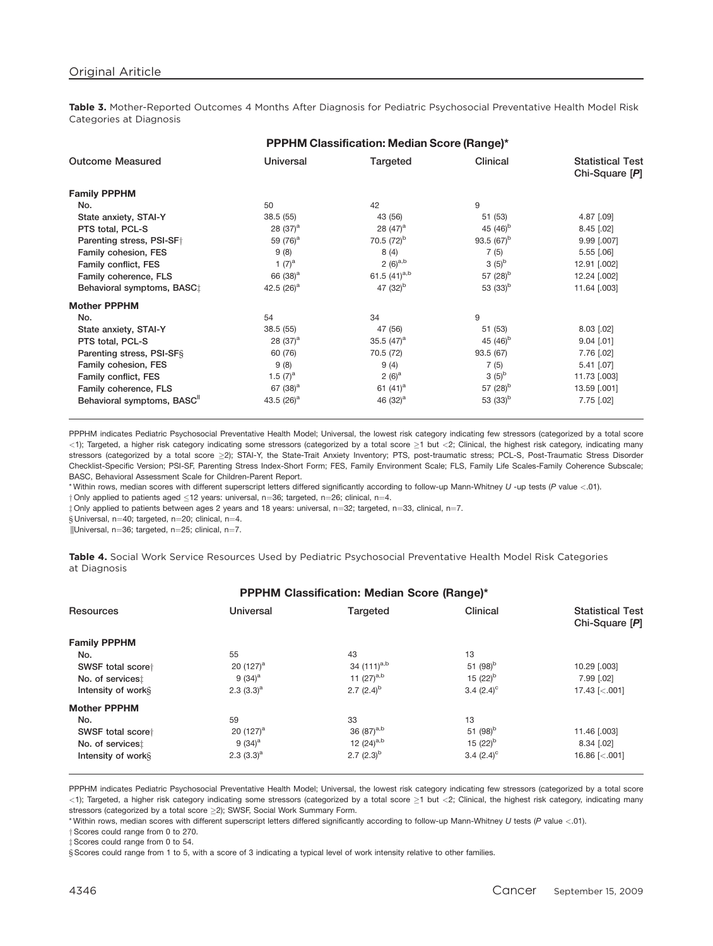Table 3. Mother-Reported Outcomes 4 Months After Diagnosis for Pediatric Psychosocial Preventative Health Model Risk Categories at Diagnosis

| <b>Outcome Measured</b><br>Universal<br>Clinical<br>Targeted                               | <b>Statistical Test</b><br>Chi-Square [P] |
|--------------------------------------------------------------------------------------------|-------------------------------------------|
|                                                                                            |                                           |
| <b>Family PPPHM</b>                                                                        |                                           |
| 9<br>42<br>50<br>No.                                                                       |                                           |
| 38.5(55)<br>43 (56)<br>51 (53)<br>State anxiety, STAI-Y                                    | $4.87$ [.09]                              |
| 45 $(46)^{b}$<br>28 $(37)^a$<br>28 $(47)^a$<br>PTS total, PCL-S                            | $8.45$ [.02]                              |
| 70.5 $(72)^{b}$<br>93.5 $(67)^{b}$<br>59 $(76)^a$<br>Parenting stress, PSI-SF <sup>+</sup> | 9.99 [.007]                               |
| 9(8)<br>8(4)<br>Family cohesion, FES<br>7(5)                                               | $5.55$ $[.06]$                            |
| 2 $(6)^{a,b}$<br>$3(5)^{b}$<br>1 $(7)^a$<br>Family conflict, FES                           | 12.91 [.002]                              |
| 61.5 $(41)^{a,b}$<br>57 $(28)^{b}$<br>66 (38) <sup>a</sup><br>Family coherence, FLS        | 12.24 [.002]                              |
| 47 $(32)^{b}$<br>53 $(33)^{b}$<br>42.5 $(26)^a$<br>Behavioral symptoms, BASC:              | 11.64 [.003]                              |
| <b>Mother PPPHM</b>                                                                        |                                           |
| 9<br>34<br>54<br>No.                                                                       |                                           |
| State anxiety, STAI-Y<br>38.5(55)<br>47 (56)<br>51 (53)                                    | $8.03$ [.02]                              |
| 45 $(46)^{b}$<br>35.5 $(47)^a$<br>PTS total, PCL-S<br>28 $(37)^a$                          | $9.04$ [.01]                              |
| Parenting stress, PSI-SFS<br>60 (76)<br>70.5 (72)<br>93.5 (67)                             | 7.76 [.02]                                |
| 9(8)<br>9(4)<br>7(5)<br>Family cohesion, FES                                               | $5.41$ [.07]                              |
| $3(5)^{b}$<br>1.5 $(7)^a$<br>2 $(6)^a$<br>Family conflict, FES                             | 11.73 [.003]                              |
| 67 $(38)^a$<br>57 $(28)^{6}$<br>61 $(41)^a$<br>Family coherence, FLS                       | 13.59 [.001]                              |
| 43.5 $(26)^a$<br>53 $(33)^{b}$<br>Behavioral symptoms, BASC"<br>46 $(32)^a$                | $7.75$ [.02]                              |

PPPHM indicates Pediatric Psychosocial Preventative Health Model; Universal, the lowest risk category indicating few stressors (categorized by a total score  $<$ 1); Targeted, a higher risk category indicating some stressors (categorized by a total score  $\geq$ 1 but  $<$ 2; Clinical, the highest risk category, indicating many stressors (categorized by a total score ≥2); STAI-Y, the State-Trait Anxiety Inventory; PTS, post-traumatic stress; PCL-S, Post-Traumatic Stress Disorder Checklist-Specific Version; PSI-SF, Parenting Stress Index-Short Form; FES, Family Environment Scale; FLS, Family Life Scales-Family Coherence Subscale; BASC, Behavioral Assessment Scale for Children-Parent Report.

\* Within rows, median scores with different superscript letters differed significantly according to follow-up Mann-Whitney U -up tests (P value <.01).

 $\dagger$  Only applied to patients aged  $\leq$ 12 years: universal, n=36; targeted, n=26; clinical, n=4.

 $\ddagger$  Only applied to patients between ages 2 years and 18 years: universal, n=32; targeted, n=33, clinical, n=7.

§ Universal, n=40; targeted, n=20; clinical, n=4.

 $||$ Universal, n=36; targeted, n=25; clinical, n=7.

Table 4. Social Work Service Resources Used by Pediatric Psychosocial Preventative Health Model Risk Categories at Diagnosis

#### PPPHM Classification: Median Score (Range)\*

| Resources           | Universal    | Targeted               | Clinical            | <b>Statistical Test</b><br>Chi-Square [P] |
|---------------------|--------------|------------------------|---------------------|-------------------------------------------|
| <b>Family PPPHM</b> |              |                        |                     |                                           |
| No.                 | 55           | 43                     | 13                  |                                           |
| SWSF total scoret   | 20 $(127)^a$ | 34 $(111)^{a,b}$       | 51 $(98)^b$         | 10.29 [.003]                              |
| No. of services:    | 9 $(34)^a$   | 11 $(27)^{a,b}$        | 15 $(22)^{b}$       | 7.99 [.02]                                |
| Intensity of works  | $2.3(3.3)^a$ | 2.7 $(2.4)^{b}$        | 3.4 $(2.4)^{\circ}$ | 17.43 $\left[ < .001 \right]$             |
| <b>Mother PPPHM</b> |              |                        |                     |                                           |
| No.                 | 59           | 33                     | 13                  |                                           |
| SWSF total scoret   | 20 $(127)^a$ | 36 (87) <sup>a,b</sup> | 51 $(98)^{D}$       | 11.46 [.003]                              |
| No. of services:    | 9 $(34)^a$   | 12 $(24)^{a,b}$        | 15 $(22)^{b}$       | $8.34$ [.02]                              |
| Intensity of works  | $2.3(3.3)^a$ | 2.7 $(2.3)^{b}$        | 3.4 $(2.4)^{\circ}$ | 16.86 $\left[ < .001 \right]$             |
|                     |              |                        |                     |                                           |

PPPHM indicates Pediatric Psychosocial Preventative Health Model; Universal, the lowest risk category indicating few stressors (categorized by a total score  $<$ 1); Targeted, a higher risk category indicating some stressors (categorized by a total score  $\geq$ 1 but  $<$ 2; Clinical, the highest risk category, indicating many stressors (categorized by a total score  $\geq$ 2); SWSF, Social Work Summary Form.

\* Within rows, median scores with different superscript letters differed significantly according to follow-up Mann-Whitney U tests (P value <.01).

y Scores could range from 0 to 270.

 $\ddagger$  Scores could range from 0 to 54.

§ Scores could range from 1 to 5, with a score of 3 indicating a typical level of work intensity relative to other families.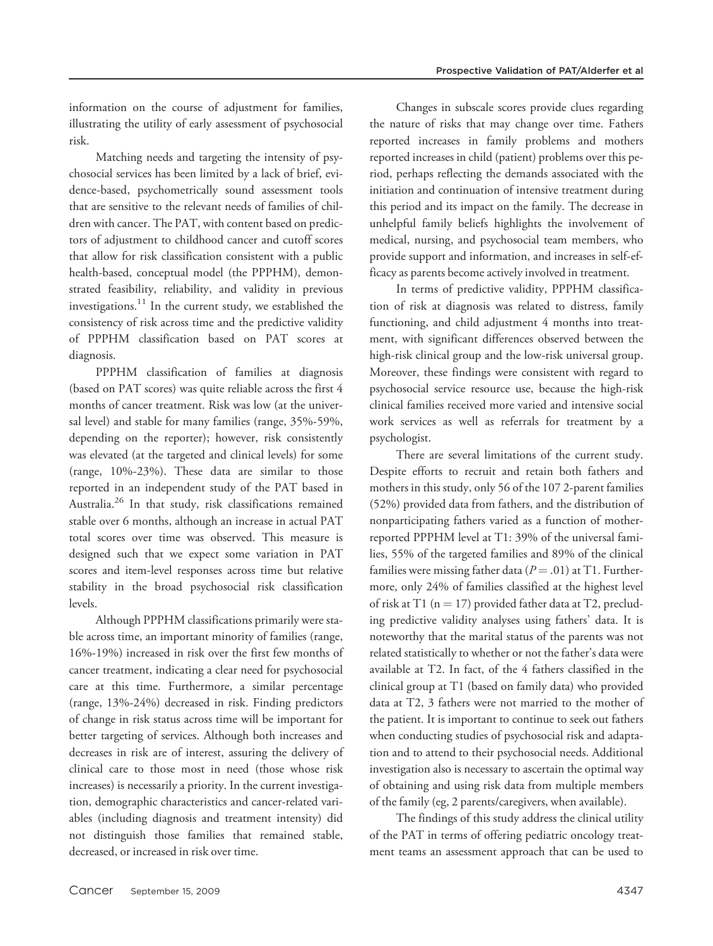information on the course of adjustment for families, illustrating the utility of early assessment of psychosocial risk.

Matching needs and targeting the intensity of psychosocial services has been limited by a lack of brief, evidence-based, psychometrically sound assessment tools that are sensitive to the relevant needs of families of children with cancer. The PAT, with content based on predictors of adjustment to childhood cancer and cutoff scores that allow for risk classification consistent with a public health-based, conceptual model (the PPPHM), demonstrated feasibility, reliability, and validity in previous investigations.<sup>11</sup> In the current study, we established the consistency of risk across time and the predictive validity of PPPHM classification based on PAT scores at diagnosis.

PPPHM classification of families at diagnosis (based on PAT scores) was quite reliable across the first 4 months of cancer treatment. Risk was low (at the universal level) and stable for many families (range, 35%-59%, depending on the reporter); however, risk consistently was elevated (at the targeted and clinical levels) for some (range, 10%-23%). These data are similar to those reported in an independent study of the PAT based in Australia.<sup>26</sup> In that study, risk classifications remained stable over 6 months, although an increase in actual PAT total scores over time was observed. This measure is designed such that we expect some variation in PAT scores and item-level responses across time but relative stability in the broad psychosocial risk classification levels.

Although PPPHM classifications primarily were stable across time, an important minority of families (range, 16%-19%) increased in risk over the first few months of cancer treatment, indicating a clear need for psychosocial care at this time. Furthermore, a similar percentage (range, 13%-24%) decreased in risk. Finding predictors of change in risk status across time will be important for better targeting of services. Although both increases and decreases in risk are of interest, assuring the delivery of clinical care to those most in need (those whose risk increases) is necessarily a priority. In the current investigation, demographic characteristics and cancer-related variables (including diagnosis and treatment intensity) did not distinguish those families that remained stable, decreased, or increased in risk over time.

Changes in subscale scores provide clues regarding the nature of risks that may change over time. Fathers reported increases in family problems and mothers reported increases in child (patient) problems over this period, perhaps reflecting the demands associated with the initiation and continuation of intensive treatment during this period and its impact on the family. The decrease in unhelpful family beliefs highlights the involvement of medical, nursing, and psychosocial team members, who provide support and information, and increases in self-efficacy as parents become actively involved in treatment.

In terms of predictive validity, PPPHM classification of risk at diagnosis was related to distress, family functioning, and child adjustment 4 months into treatment, with significant differences observed between the high-risk clinical group and the low-risk universal group. Moreover, these findings were consistent with regard to psychosocial service resource use, because the high-risk clinical families received more varied and intensive social work services as well as referrals for treatment by a psychologist.

There are several limitations of the current study. Despite efforts to recruit and retain both fathers and mothers in this study, only 56 of the 107 2-parent families (52%) provided data from fathers, and the distribution of nonparticipating fathers varied as a function of motherreported PPPHM level at T1: 39% of the universal families, 55% of the targeted families and 89% of the clinical families were missing father data ( $P = .01$ ) at T1. Furthermore, only 24% of families classified at the highest level of risk at T1 ( $n = 17$ ) provided father data at T2, precluding predictive validity analyses using fathers' data. It is noteworthy that the marital status of the parents was not related statistically to whether or not the father's data were available at T2. In fact, of the 4 fathers classified in the clinical group at T1 (based on family data) who provided data at T2, 3 fathers were not married to the mother of the patient. It is important to continue to seek out fathers when conducting studies of psychosocial risk and adaptation and to attend to their psychosocial needs. Additional investigation also is necessary to ascertain the optimal way of obtaining and using risk data from multiple members of the family (eg, 2 parents/caregivers, when available).

The findings of this study address the clinical utility of the PAT in terms of offering pediatric oncology treatment teams an assessment approach that can be used to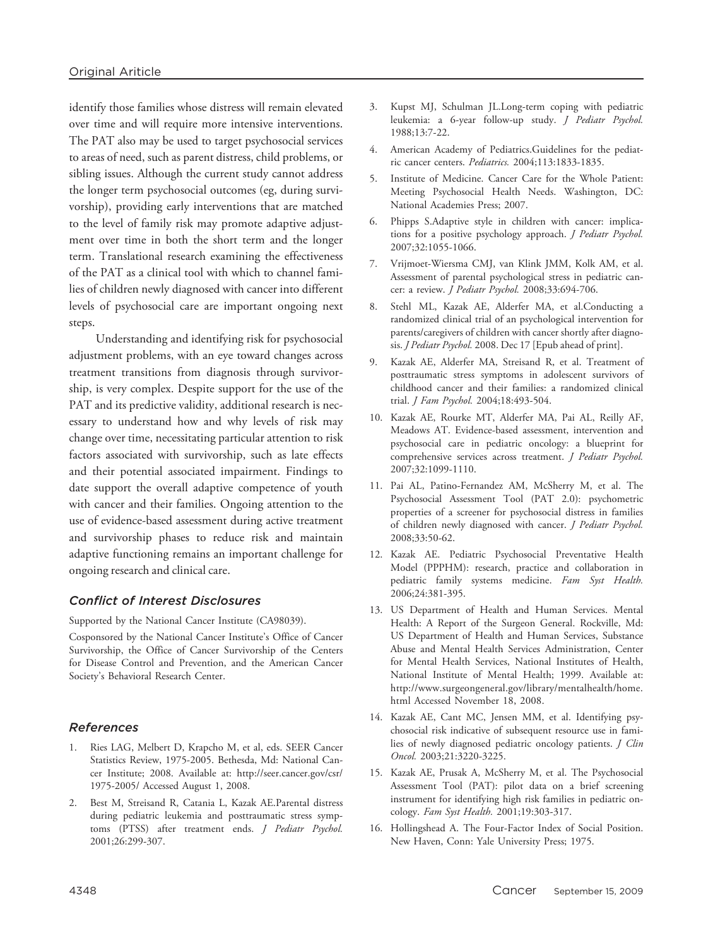identify those families whose distress will remain elevated over time and will require more intensive interventions. The PAT also may be used to target psychosocial services to areas of need, such as parent distress, child problems, or sibling issues. Although the current study cannot address the longer term psychosocial outcomes (eg, during survivorship), providing early interventions that are matched to the level of family risk may promote adaptive adjustment over time in both the short term and the longer term. Translational research examining the effectiveness of the PAT as a clinical tool with which to channel families of children newly diagnosed with cancer into different levels of psychosocial care are important ongoing next steps.

Understanding and identifying risk for psychosocial adjustment problems, with an eye toward changes across treatment transitions from diagnosis through survivorship, is very complex. Despite support for the use of the PAT and its predictive validity, additional research is necessary to understand how and why levels of risk may change over time, necessitating particular attention to risk factors associated with survivorship, such as late effects and their potential associated impairment. Findings to date support the overall adaptive competence of youth with cancer and their families. Ongoing attention to the use of evidence-based assessment during active treatment and survivorship phases to reduce risk and maintain adaptive functioning remains an important challenge for ongoing research and clinical care.

### Conflict of Interest Disclosures

Supported by the National Cancer Institute (CA98039).

Cosponsored by the National Cancer Institute's Office of Cancer Survivorship, the Office of Cancer Survivorship of the Centers for Disease Control and Prevention, and the American Cancer Society's Behavioral Research Center.

### References

- 1. Ries LAG, Melbert D, Krapcho M, et al, eds. SEER Cancer Statistics Review, 1975-2005. Bethesda, Md: National Cancer Institute; 2008. Available at: http://seer.cancer.gov/csr/ 1975-2005/ Accessed August 1, 2008.
- 2. Best M, Streisand R, Catania L, Kazak AE.Parental distress during pediatric leukemia and posttraumatic stress symptoms (PTSS) after treatment ends. J Pediatr Psychol. 2001;26:299-307.
- 3. Kupst MJ, Schulman JL.Long-term coping with pediatric leukemia: a 6-year follow-up study. J Pediatr Psychol. 1988;13:7-22.
- 4. American Academy of Pediatrics.Guidelines for the pediatric cancer centers. Pediatrics. 2004;113:1833-1835.
- 5. Institute of Medicine. Cancer Care for the Whole Patient: Meeting Psychosocial Health Needs. Washington, DC: National Academies Press; 2007.
- 6. Phipps S.Adaptive style in children with cancer: implications for a positive psychology approach. J Pediatr Psychol. 2007;32:1055-1066.
- 7. Vrijmoet-Wiersma CMJ, van Klink JMM, Kolk AM, et al. Assessment of parental psychological stress in pediatric cancer: a review. J Pediatr Psychol. 2008;33:694-706.
- 8. Stehl ML, Kazak AE, Alderfer MA, et al.Conducting a randomized clinical trial of an psychological intervention for parents/caregivers of children with cancer shortly after diagnosis. *J Pediatr Psychol.* 2008. Dec 17 [Epub ahead of print].
- 9. Kazak AE, Alderfer MA, Streisand R, et al. Treatment of posttraumatic stress symptoms in adolescent survivors of childhood cancer and their families: a randomized clinical trial. J Fam Psychol. 2004;18:493-504.
- 10. Kazak AE, Rourke MT, Alderfer MA, Pai AL, Reilly AF, Meadows AT. Evidence-based assessment, intervention and psychosocial care in pediatric oncology: a blueprint for comprehensive services across treatment. *J Pediatr Psychol.* 2007;32:1099-1110.
- 11. Pai AL, Patino-Fernandez AM, McSherry M, et al. The Psychosocial Assessment Tool (PAT 2.0): psychometric properties of a screener for psychosocial distress in families of children newly diagnosed with cancer. J Pediatr Psychol. 2008;33:50-62.
- 12. Kazak AE. Pediatric Psychosocial Preventative Health Model (PPPHM): research, practice and collaboration in pediatric family systems medicine. Fam Syst Health. 2006;24:381-395.
- 13. US Department of Health and Human Services. Mental Health: A Report of the Surgeon General. Rockville, Md: US Department of Health and Human Services, Substance Abuse and Mental Health Services Administration, Center for Mental Health Services, National Institutes of Health, National Institute of Mental Health; 1999. Available at: http://www.surgeongeneral.gov/library/mentalhealth/home. html Accessed November 18, 2008.
- 14. Kazak AE, Cant MC, Jensen MM, et al. Identifying psychosocial risk indicative of subsequent resource use in families of newly diagnosed pediatric oncology patients. J Clin Oncol. 2003;21:3220-3225.
- 15. Kazak AE, Prusak A, McSherry M, et al. The Psychosocial Assessment Tool (PAT): pilot data on a brief screening instrument for identifying high risk families in pediatric oncology. Fam Syst Health. 2001;19:303-317.
- 16. Hollingshead A. The Four-Factor Index of Social Position. New Haven, Conn: Yale University Press; 1975.